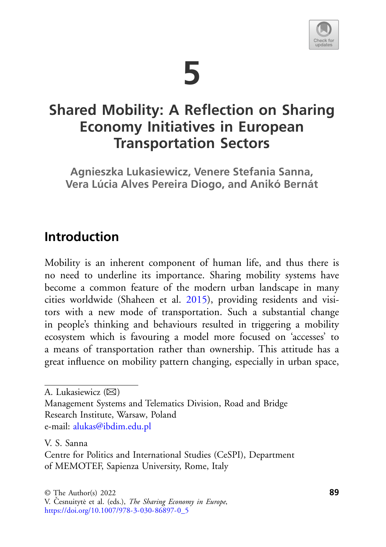

# **5**

# **Shared Mobility: A Reflection on Sharing Economy Initiatives in European Transportation Sectors**

**Agnieszka Lukasiewicz, Venere Stefania Sanna, Vera Lúcia Alves Pereira Diogo, and Anikó Bernát**

## **Introduction**

Mobility is an inherent component of human life, and thus there is no need to underline its importance. Sharing mobility systems have become a common feature of the modern urban landscape in many cities worldwide (Shaheen et al. [2015\)](#page-22-0), providing residents and visitors with a new mode of transportation. Such a substantial change in people's thinking and behaviours resulted in triggering a mobility ecosystem which is favouring a model more focused on 'accesses' to a means of transportation rather than ownership. This attitude has a great influence on mobility pattern changing, especially in urban space,

Management Systems and Telematics Division, Road and Bridge Research Institute, Warsaw, Poland e-mail: [alukas@ibdim.edu.pl](mailto:alukas@ibdim.edu.pl)

V. S. Sanna

A. Lukasiewicz  $(\boxtimes)$ 

Centre for Politics and International Studies (CeSPI), Department of MEMOTEF, Sapienza University, Rome, Italy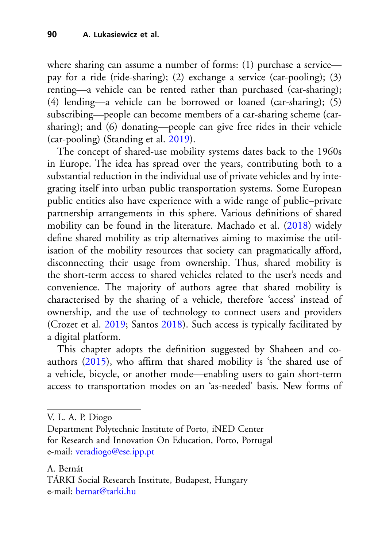where sharing can assume a number of forms: (1) purchase a service pay for a ride (ride-sharing); (2) exchange a service (car-pooling); (3) renting—a vehicle can be rented rather than purchased (car-sharing); (4) lending—a vehicle can be borrowed or loaned (car-sharing); (5) subscribing—people can become members of a car-sharing scheme (carsharing); and (6) donating—people can give free rides in their vehicle (car-pooling) (Standing et al. [2019\)](#page-23-0).

The concept of shared-use mobility systems dates back to the 1960s in Europe. The idea has spread over the years, contributing both to a substantial reduction in the individual use of private vehicles and by integrating itself into urban public transportation systems. Some European public entities also have experience with a wide range of public–private partnership arrangements in this sphere. Various definitions of shared mobility can be found in the literature. Machado et al. [\(2018\)](#page-21-0) widely define shared mobility as trip alternatives aiming to maximise the utilisation of the mobility resources that society can pragmatically afford, disconnecting their usage from ownership. Thus, shared mobility is the short-term access to shared vehicles related to the user's needs and convenience. The majority of authors agree that shared mobility is characterised by the sharing of a vehicle, therefore 'access' instead of ownership, and the use of technology to connect users and providers (Crozet et al. [2019;](#page-19-0) Santos [2018\)](#page-22-1). Such access is typically facilitated by a digital platform.

This chapter adopts the definition suggested by Shaheen and coauthors [\(2015\)](#page-22-0), who affirm that shared mobility is 'the shared use of a vehicle, bicycle, or another mode—enabling users to gain short-term access to transportation modes on an 'as-needed' basis. New forms of

V. L. A. P. Diogo

A. Bernát TÁRKI Social Research Institute, Budapest, Hungary e-mail: [bernat@tarki.hu](mailto:bernat@tarki.hu)

Department Polytechnic Institute of Porto, iNED Center for Research and Innovation On Education, Porto, Portugal e-mail: [veradiogo@ese.ipp.pt](mailto:veradiogo@ese.ipp.pt)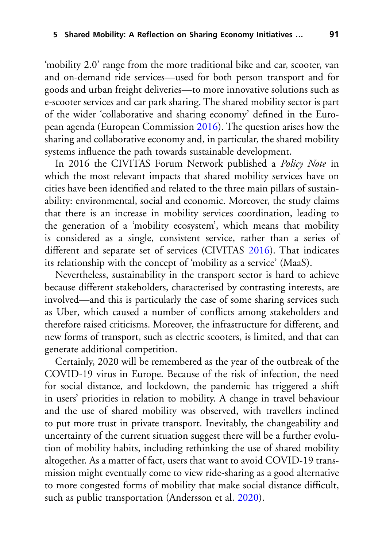'mobility 2.0' range from the more traditional bike and car, scooter, van and on-demand ride services—used for both person transport and for goods and urban freight deliveries—to more innovative solutions such as e-scooter services and car park sharing. The shared mobility sector is part of the wider 'collaborative and sharing economy' defined in the European agenda (European Commission [2016\)](#page-20-0). The question arises how the sharing and collaborative economy and, in particular, the shared mobility systems influence the path towards sustainable development.

In 2016 the CIVITAS Forum Network published a *Policy Note* in which the most relevant impacts that shared mobility services have on cities have been identified and related to the three main pillars of sustainability: environmental, social and economic. Moreover, the study claims that there is an increase in mobility services coordination, leading to the generation of a 'mobility ecosystem', which means that mobility is considered as a single, consistent service, rather than a series of different and separate set of services (CIVITAS [2016\)](#page-19-1). That indicates its relationship with the concept of 'mobility as a service' (MaaS).

Nevertheless, sustainability in the transport sector is hard to achieve because different stakeholders, characterised by contrasting interests, are involved—and this is particularly the case of some sharing services such as Uber, which caused a number of conflicts among stakeholders and therefore raised criticisms. Moreover, the infrastructure for different, and new forms of transport, such as electric scooters, is limited, and that can generate additional competition.

Certainly, 2020 will be remembered as the year of the outbreak of the COVID-19 virus in Europe. Because of the risk of infection, the need for social distance, and lockdown, the pandemic has triggered a shift in users' priorities in relation to mobility. A change in travel behaviour and the use of shared mobility was observed, with travellers inclined to put more trust in private transport. Inevitably, the changeability and uncertainty of the current situation suggest there will be a further evolution of mobility habits, including rethinking the use of shared mobility altogether. As a matter of fact, users that want to avoid COVID-19 transmission might eventually come to view ride-sharing as a good alternative to more congested forms of mobility that make social distance difficult, such as public transportation (Andersson et al. [2020\)](#page-18-0).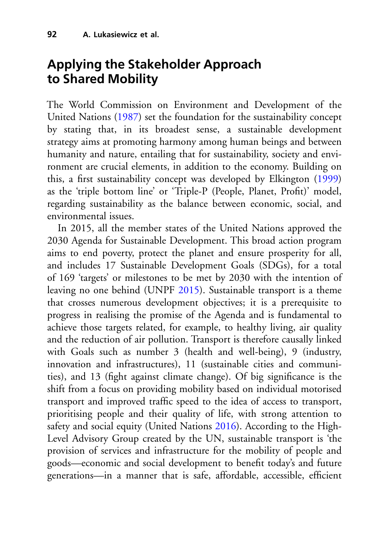## **Applying the Stakeholder Approach to Shared Mobility**

The World Commission on Environment and Development of the United Nations [\(1987\)](#page-23-1) set the foundation for the sustainability concept by stating that, in its broadest sense, a sustainable development strategy aims at promoting harmony among human beings and between humanity and nature, entailing that for sustainability, society and environment are crucial elements, in addition to the economy. Building on this, a first sustainability concept was developed by Elkington [\(1999\)](#page-19-2) as the 'triple bottom line' or 'Triple-P (People, Planet, Profit)' model, regarding sustainability as the balance between economic, social, and environmental issues.

In 2015, all the member states of the United Nations approved the 2030 Agenda for Sustainable Development. This broad action program aims to end poverty, protect the planet and ensure prosperity for all, and includes 17 Sustainable Development Goals (SDGs), for a total of 169 'targets' or milestones to be met by 2030 with the intention of leaving no one behind (UNPF [2015\)](#page-23-2). Sustainable transport is a theme that crosses numerous development objectives; it is a prerequisite to progress in realising the promise of the Agenda and is fundamental to achieve those targets related, for example, to healthy living, air quality and the reduction of air pollution. Transport is therefore causally linked with Goals such as number 3 (health and well-being), 9 (industry, innovation and infrastructures), 11 (sustainable cities and communities), and 13 (fight against climate change). Of big significance is the shift from a focus on providing mobility based on individual motorised transport and improved traffic speed to the idea of access to transport, prioritising people and their quality of life, with strong attention to safety and social equity (United Nations [2016\)](#page-23-3). According to the High-Level Advisory Group created by the UN, sustainable transport is 'the provision of services and infrastructure for the mobility of people and goods—economic and social development to benefit today's and future generations—in a manner that is safe, affordable, accessible, efficient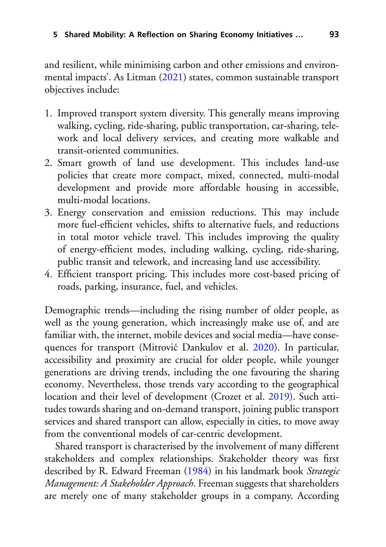and resilient, while minimising carbon and other emissions and environmental impacts'. As Litman [\(2021\)](#page-21-1) states, common sustainable transport objectives include:

- 1. Improved transport system diversity. This generally means improving walking, cycling, ride-sharing, public transportation, car-sharing, telework and local delivery services, and creating more walkable and transit-oriented communities.
- 2. Smart growth of land use development. This includes land-use policies that create more compact, mixed, connected, multi-modal development and provide more affordable housing in accessible, multi-modal locations.
- 3. Energy conservation and emission reductions. This may include more fuel-efficient vehicles, shifts to alternative fuels, and reductions in total motor vehicle travel. This includes improving the quality of energy-efficient modes, including walking, cycling, ride-sharing, public transit and telework, and increasing land use accessibility.
- 4. Efficient transport pricing. This includes more cost-based pricing of roads, parking, insurance, fuel, and vehicles.

Demographic trends—including the rising number of older people, as well as the young generation, which increasingly make use of, and are familiar with, the internet, mobile devices and social media—have conse-quences for transport (Mitrović Dankulov et al. [2020\)](#page-22-2). In particular, accessibility and proximity are crucial for older people, while younger generations are driving trends, including the one favouring the sharing economy. Nevertheless, those trends vary according to the geographical location and their level of development (Crozet et al. [2019\)](#page-19-0). Such attitudes towards sharing and on-demand transport, joining public transport services and shared transport can allow, especially in cities, to move away from the conventional models of car-centric development.

Shared transport is characterised by the involvement of many different stakeholders and complex relationships. Stakeholder theory was first described by R. Edward Freeman [\(1984\)](#page-20-1) in his landmark book *Strategic Management: A Stakeholder Approach*. Freeman suggests that shareholders are merely one of many stakeholder groups in a company. According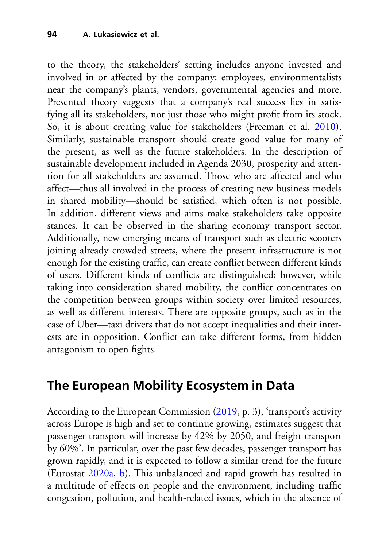to the theory, the stakeholders' setting includes anyone invested and involved in or affected by the company: employees, environmentalists near the company's plants, vendors, governmental agencies and more. Presented theory suggests that a company's real success lies in satisfying all its stakeholders, not just those who might profit from its stock. So, it is about creating value for stakeholders (Freeman et al. [2010\)](#page-20-2). Similarly, sustainable transport should create good value for many of the present, as well as the future stakeholders. In the description of sustainable development included in Agenda 2030, prosperity and attention for all stakeholders are assumed. Those who are affected and who affect—thus all involved in the process of creating new business models in shared mobility—should be satisfied, which often is not possible. In addition, different views and aims make stakeholders take opposite stances. It can be observed in the sharing economy transport sector. Additionally, new emerging means of transport such as electric scooters joining already crowded streets, where the present infrastructure is not enough for the existing traffic, can create conflict between different kinds of users. Different kinds of conflicts are distinguished; however, while taking into consideration shared mobility, the conflict concentrates on the competition between groups within society over limited resources, as well as different interests. There are opposite groups, such as in the case of Uber—taxi drivers that do not accept inequalities and their interests are in opposition. Conflict can take different forms, from hidden antagonism to open fights.

## **The European Mobility Ecosystem in Data**

According to the European Commission [\(2019,](#page-20-3) p. 3), 'transport's activity across Europe is high and set to continue growing, estimates suggest that passenger transport will increase by 42% by 2050, and freight transport by 60%'. In particular, over the past few decades, passenger transport has grown rapidly, and it is expected to follow a similar trend for the future (Eurostat [2020a,](#page-20-4) [b\)](#page-20-5). This unbalanced and rapid growth has resulted in a multitude of effects on people and the environment, including traffic congestion, pollution, and health-related issues, which in the absence of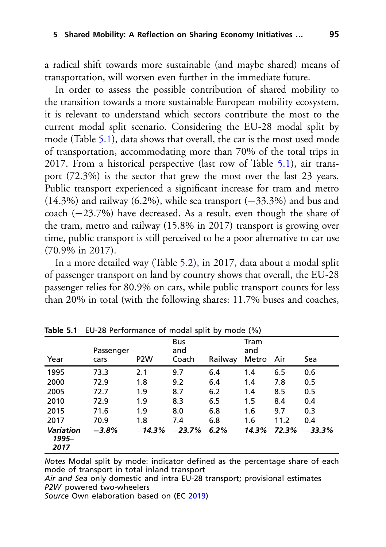a radical shift towards more sustainable (and maybe shared) means of transportation, will worsen even further in the immediate future.

In order to assess the possible contribution of shared mobility to the transition towards a more sustainable European mobility ecosystem, it is relevant to understand which sectors contribute the most to the current modal split scenario. Considering the EU-28 modal split by mode (Table [5.1\)](#page-6-0), data shows that overall, the car is the most used mode of transportation, accommodating more than 70% of the total trips in 2017. From a historical perspective (last row of Table [5.1\)](#page-6-0), air transport (72.3%) is the sector that grew the most over the last 23 years. Public transport experienced a significant increase for tram and metro (14.3%) and railway (6.2%), while sea transport  $(-33.3\%)$  and bus and coach (−23.7%) have decreased. As a result, even though the share of the tram, metro and railway (15.8% in 2017) transport is growing over time, public transport is still perceived to be a poor alternative to car use (70.9% in 2017).

In a more detailed way (Table [5.2\)](#page-7-0), in 2017, data about a modal split of passenger transport on land by country shows that overall, the EU-28 passenger relies for 80.9% on cars, while public transport counts for less than 20% in total (with the following shares: 11.7% buses and coaches,

|                                   | $\frac{1}{2}$ able $\frac{1}{2}$ . LO-ZO Ferrormance Or modal spirt by mode (70) |                  |                            |         |                      |       |          |
|-----------------------------------|----------------------------------------------------------------------------------|------------------|----------------------------|---------|----------------------|-------|----------|
| Year                              | Passenger<br>cars                                                                | P <sub>2</sub> W | <b>Bus</b><br>and<br>Coach | Railway | Tram<br>and<br>Metro | Air   | Sea      |
| 1995                              | 73.3                                                                             | 2.1              | 9.7                        | 6.4     | 1.4                  | 6.5   | 0.6      |
| 2000                              | 72.9                                                                             | 1.8              | 9.2                        | 6.4     | 1.4                  | 7.8   | 0.5      |
| 2005                              | 72.7                                                                             | 1.9              | 8.7                        | 6.2     | 1.4                  | 8.5   | 0.5      |
| 2010                              | 72.9                                                                             | 1.9              | 8.3                        | 6.5     | 1.5                  | 8.4   | 0.4      |
| 2015                              | 71.6                                                                             | 1.9              | 8.0                        | 6.8     | 1.6                  | 9.7   | 0.3      |
| 2017                              | 70.9                                                                             | 1.8              | 7.4                        | 6.8     | 1.6                  | 11.2  | 0.4      |
| <b>Variation</b><br>1995–<br>2017 | $-3.8%$                                                                          | $-14.3%$         | $-23.7%$                   | 6.2%    | 14.3%                | 72.3% | $-33.3%$ |

<span id="page-6-0"></span>**Table 5.1** EU-28 Performance of modal split by mode (%)

*Notes* Modal split by mode: indicator defined as the percentage share of each mode of transport in total inland transport

*Air and Sea* only domestic and intra EU-28 transport; provisional estimates *P2W* powered two-wheelers

*Source* Own elaboration based on (EC [2019\)](#page-20-3)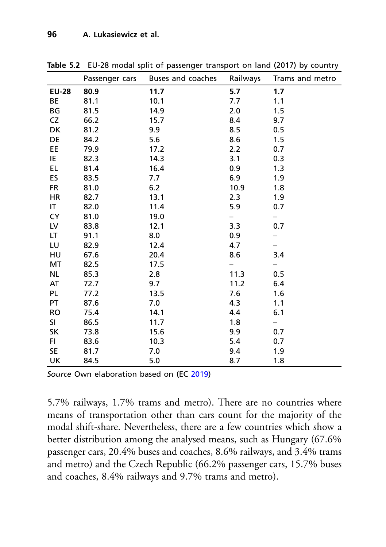|              | Passenger cars | Buses and coaches | Railways | Trams and metro |
|--------------|----------------|-------------------|----------|-----------------|
| <b>EU-28</b> | 80.9           | 11.7              | 5.7      | 1.7             |
| <b>BE</b>    | 81.1           | 10.1              | 7.7      | 1.1             |
| ΒG           | 81.5           | 14.9              | 2.0      | 1.5             |
| CZ           | 66.2           | 15.7              | 8.4      | 9.7             |
| DK           | 81.2           | 9.9               | 8.5      | 0.5             |
| DE           | 84.2           | 5.6               | 8.6      | 1.5             |
| <b>EE</b>    | 79.9           | 17.2              | 2.2      | 0.7             |
| IE           | 82.3           | 14.3              | 3.1      | 0.3             |
| <b>EL</b>    | 81.4           | 16.4              | 0.9      | 1.3             |
| ES           | 83.5           | 7.7               | 6.9      | 1.9             |
| <b>FR</b>    | 81.0           | 6.2               | 10.9     | 1.8             |
| HR           | 82.7           | 13.1              | 2.3      | 1.9             |
| IT           | 82.0           | 11.4              | 5.9      | 0.7             |
| CY           | 81.0           | 19.0              |          |                 |
| LV           | 83.8           | 12.1              | 3.3      | 0.7             |
| LT           | 91.1           | 8.0               | 0.9      |                 |
| LU           | 82.9           | 12.4              | 4.7      |                 |
| HU           | 67.6           | 20.4              | 8.6      | 3.4             |
| MT           | 82.5           | 17.5              |          |                 |
| <b>NL</b>    | 85.3           | 2.8               | 11.3     | 0.5             |
| AT           | 72.7           | 9.7               | 11.2     | 6.4             |
| PL           | 77.2           | 13.5              | 7.6      | 1.6             |
| PT           | 87.6           | 7.0               | 4.3      | 1.1             |
| <b>RO</b>    | 75.4           | 14.1              | 4.4      | 6.1             |
| SI           | 86.5           | 11.7              | 1.8      | -               |
| SK           | 73.8           | 15.6              | 9.9      | 0.7             |
| FI           | 83.6           | 10.3              | 5.4      | 0.7             |
| SE           | 81.7           | 7.0               | 9.4      | 1.9             |
| UK           | 84.5           | 5.0               | 8.7      | 1.8             |

<span id="page-7-0"></span>**Table 5.2** EU-28 modal split of passenger transport on land (2017) by country

*Source* Own elaboration based on (EC [2019\)](#page-20-3)

5.7% railways, 1.7% trams and metro). There are no countries where means of transportation other than cars count for the majority of the modal shift-share. Nevertheless, there are a few countries which show a better distribution among the analysed means, such as Hungary (67.6% passenger cars, 20.4% buses and coaches, 8.6% railways, and 3.4% trams and metro) and the Czech Republic (66.2% passenger cars, 15.7% buses and coaches, 8.4% railways and 9.7% trams and metro).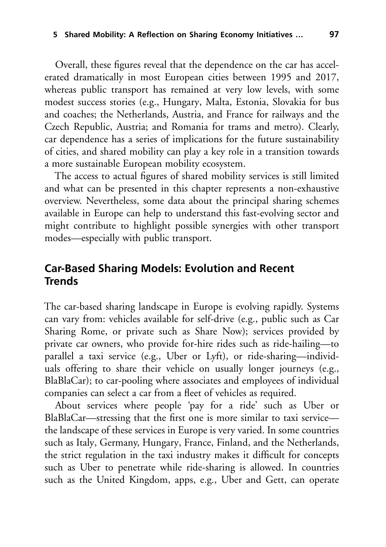Overall, these figures reveal that the dependence on the car has accelerated dramatically in most European cities between 1995 and 2017, whereas public transport has remained at very low levels, with some modest success stories (e.g., Hungary, Malta, Estonia, Slovakia for bus and coaches; the Netherlands, Austria, and France for railways and the Czech Republic, Austria; and Romania for trams and metro). Clearly, car dependence has a series of implications for the future sustainability of cities, and shared mobility can play a key role in a transition towards a more sustainable European mobility ecosystem.

The access to actual figures of shared mobility services is still limited and what can be presented in this chapter represents a non-exhaustive overview. Nevertheless, some data about the principal sharing schemes available in Europe can help to understand this fast-evolving sector and might contribute to highlight possible synergies with other transport modes—especially with public transport.

#### **Car-Based Sharing Models: Evolution and Recent Trends**

The car-based sharing landscape in Europe is evolving rapidly. Systems can vary from: vehicles available for self-drive (e.g., public such as Car Sharing Rome, or private such as Share Now); services provided by private car owners, who provide for-hire rides such as ride-hailing—to parallel a taxi service (e.g., Uber or Lyft), or ride-sharing—individuals offering to share their vehicle on usually longer journeys (e.g., BlaBlaCar); to car-pooling where associates and employees of individual companies can select a car from a fleet of vehicles as required.

About services where people 'pay for a ride' such as Uber or BlaBlaCar—stressing that the first one is more similar to taxi service the landscape of these services in Europe is very varied. In some countries such as Italy, Germany, Hungary, France, Finland, and the Netherlands, the strict regulation in the taxi industry makes it difficult for concepts such as Uber to penetrate while ride-sharing is allowed. In countries such as the United Kingdom, apps, e.g., Uber and Gett, can operate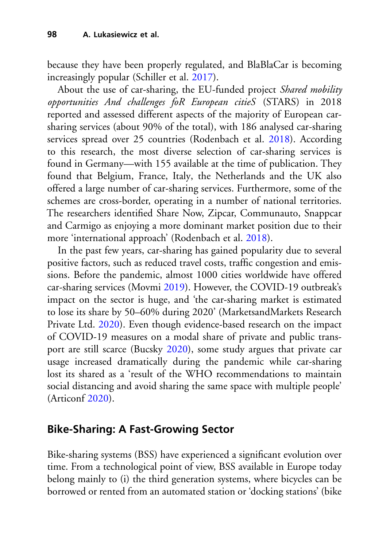because they have been properly regulated, and BlaBlaCar is becoming increasingly popular (Schiller et al. [2017\)](#page-22-3).

About the use of car-sharing, the EU-funded project *Shared mobility opportunities And challenges foR European citieS* (STARS) in 2018 reported and assessed different aspects of the majority of European carsharing services (about 90% of the total), with 186 analysed car-sharing services spread over 25 countries (Rodenbach et al. [2018\)](#page-22-4). According to this research, the most diverse selection of car-sharing services is found in Germany—with 155 available at the time of publication. They found that Belgium, France, Italy, the Netherlands and the UK also offered a large number of car-sharing services. Furthermore, some of the schemes are cross-border, operating in a number of national territories. The researchers identified Share Now, Zipcar, Communauto, Snappcar and Carmigo as enjoying a more dominant market position due to their more 'international approach' (Rodenbach et al. [2018\)](#page-22-4).

In the past few years, car-sharing has gained popularity due to several positive factors, such as reduced travel costs, traffic congestion and emissions. Before the pandemic, almost 1000 cities worldwide have offered car-sharing services (Movmi [2019\)](#page-22-5). However, the COVID-19 outbreak's impact on the sector is huge, and 'the car-sharing market is estimated to lose its share by 50–60% during 2020' (MarketsandMarkets Research Private Ltd. [2020\)](#page-21-2). Even though evidence-based research on the impact of COVID-19 measures on a modal share of private and public transport are still scarce (Bucsky [2020\)](#page-19-3), some study argues that private car usage increased dramatically during the pandemic while car-sharing lost its shared as a 'result of the WHO recommendations to maintain social distancing and avoid sharing the same space with multiple people' (Articonf [2020\)](#page-18-1).

### **Bike-Sharing: A Fast-Growing Sector**

Bike-sharing systems (BSS) have experienced a significant evolution over time. From a technological point of view, BSS available in Europe today belong mainly to (i) the third generation systems, where bicycles can be borrowed or rented from an automated station or 'docking stations' (bike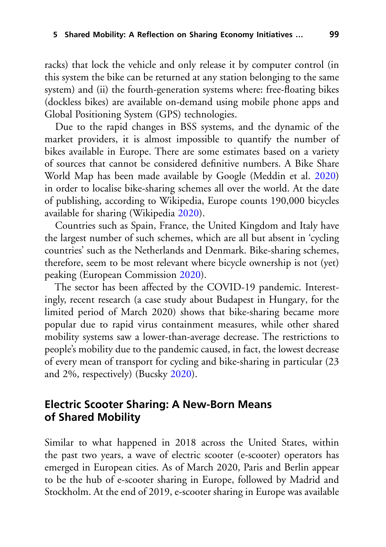racks) that lock the vehicle and only release it by computer control (in this system the bike can be returned at any station belonging to the same system) and (ii) the fourth-generation systems where: free-floating bikes (dockless bikes) are available on-demand using mobile phone apps and Global Positioning System (GPS) technologies.

Due to the rapid changes in BSS systems, and the dynamic of the market providers, it is almost impossible to quantify the number of bikes available in Europe. There are some estimates based on a variety of sources that cannot be considered definitive numbers. A Bike Share World Map has been made available by Google (Meddin et al. [2020\)](#page-22-6) in order to localise bike-sharing schemes all over the world. At the date of publishing, according to Wikipedia, Europe counts 190,000 bicycles available for sharing (Wikipedia [2020\)](#page-23-4).

Countries such as Spain, France, the United Kingdom and Italy have the largest number of such schemes, which are all but absent in 'cycling countries' such as the Netherlands and Denmark. Bike-sharing schemes, therefore, seem to be most relevant where bicycle ownership is not (yet) peaking (European Commission [2020\)](#page-20-6).

The sector has been affected by the COVID-19 pandemic. Interestingly, recent research (a case study about Budapest in Hungary, for the limited period of March 2020) shows that bike-sharing became more popular due to rapid virus containment measures, while other shared mobility systems saw a lower-than-average decrease. The restrictions to people's mobility due to the pandemic caused, in fact, the lowest decrease of every mean of transport for cycling and bike-sharing in particular (23 and 2%, respectively) (Bucsky [2020\)](#page-19-3).

#### **Electric Scooter Sharing: A New-Born Means of Shared Mobility**

Similar to what happened in 2018 across the United States, within the past two years, a wave of electric scooter (e-scooter) operators has emerged in European cities. As of March 2020, Paris and Berlin appear to be the hub of e-scooter sharing in Europe, followed by Madrid and Stockholm. At the end of 2019, e-scooter sharing in Europe was available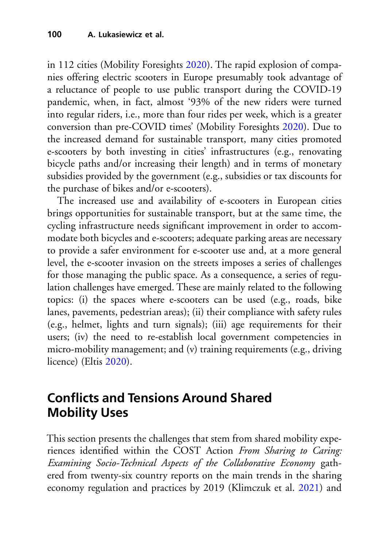in 112 cities (Mobility Foresights [2020\)](#page-22-7). The rapid explosion of companies offering electric scooters in Europe presumably took advantage of a reluctance of people to use public transport during the COVID-19 pandemic, when, in fact, almost '93% of the new riders were turned into regular riders, i.e., more than four rides per week, which is a greater conversion than pre-COVID times' (Mobility Foresights [2020\)](#page-22-7). Due to the increased demand for sustainable transport, many cities promoted e-scooters by both investing in cities' infrastructures (e.g., renovating bicycle paths and/or increasing their length) and in terms of monetary subsidies provided by the government (e.g., subsidies or tax discounts for the purchase of bikes and/or e-scooters).

The increased use and availability of e-scooters in European cities brings opportunities for sustainable transport, but at the same time, the cycling infrastructure needs significant improvement in order to accommodate both bicycles and e-scooters; adequate parking areas are necessary to provide a safer environment for e-scooter use and, at a more general level, the e-scooter invasion on the streets imposes a series of challenges for those managing the public space. As a consequence, a series of regulation challenges have emerged. These are mainly related to the following topics: (i) the spaces where e-scooters can be used (e.g., roads, bike lanes, pavements, pedestrian areas); (ii) their compliance with safety rules (e.g., helmet, lights and turn signals); (iii) age requirements for their users; (iv) the need to re-establish local government competencies in micro-mobility management; and (v) training requirements (e.g., driving licence) (Eltis [2020\)](#page-20-7).

## **Conflicts and Tensions Around Shared Mobility Uses**

This section presents the challenges that stem from shared mobility experiences identified within the COST Action *From Sharing to Caring: Examining Socio-Technical Aspects of the Collaborative Economy* gathered from twenty-six country reports on the main trends in the sharing economy regulation and practices by 2019 (Klimczuk et al. [2021\)](#page-21-3) and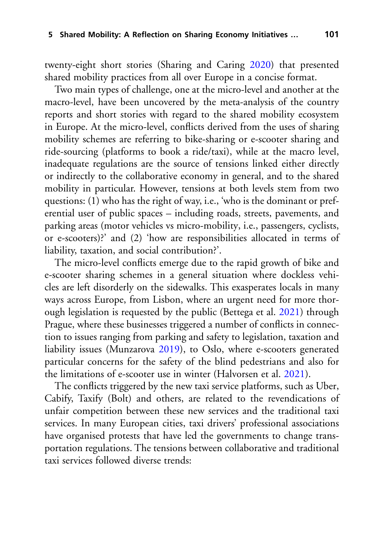twenty-eight short stories (Sharing and Caring [2020\)](#page-23-5) that presented shared mobility practices from all over Europe in a concise format.

Two main types of challenge, one at the micro-level and another at the macro-level, have been uncovered by the meta-analysis of the country reports and short stories with regard to the shared mobility ecosystem in Europe. At the micro-level, conflicts derived from the uses of sharing mobility schemes are referring to bike-sharing or e-scooter sharing and ride-sourcing (platforms to book a ride/taxi), while at the macro level, inadequate regulations are the source of tensions linked either directly or indirectly to the collaborative economy in general, and to the shared mobility in particular. However, tensions at both levels stem from two questions: (1) who has the right of way, i.e., 'who is the dominant or preferential user of public spaces – including roads, streets, pavements, and parking areas (motor vehicles vs micro-mobility, i.e., passengers, cyclists, or e-scooters)?' and (2) 'how are responsibilities allocated in terms of liability, taxation, and social contribution?'.

The micro-level conflicts emerge due to the rapid growth of bike and e-scooter sharing schemes in a general situation where dockless vehicles are left disorderly on the sidewalks. This exasperates locals in many ways across Europe, from Lisbon, where an urgent need for more thorough legislation is requested by the public (Bettega et al. [2021\)](#page-19-4) through Prague, where these businesses triggered a number of conflicts in connection to issues ranging from parking and safety to legislation, taxation and liability issues (Munzarova [2019\)](#page-22-8), to Oslo, where e-scooters generated particular concerns for the safety of the blind pedestrians and also for the limitations of e-scooter use in winter (Halvorsen et al. [2021\)](#page-20-8).

The conflicts triggered by the new taxi service platforms, such as Uber, Cabify, Taxify (Bolt) and others, are related to the revendications of unfair competition between these new services and the traditional taxi services. In many European cities, taxi drivers' professional associations have organised protests that have led the governments to change transportation regulations. The tensions between collaborative and traditional taxi services followed diverse trends: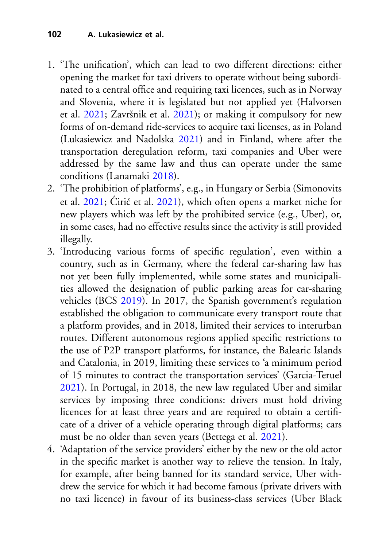- 1. 'The unification', which can lead to two different directions: either opening the market for taxi drivers to operate without being subordinated to a central office and requiring taxi licences, such as in Norway and Slovenia, where it is legislated but not applied yet (Halvorsen et al. [2021;](#page-20-8) Završnik et al. [2021\)](#page-24-0); or making it compulsory for new forms of on-demand ride-services to acquire taxi licenses, as in Poland (Lukasiewicz and Nadolska [2021\)](#page-21-4) and in Finland, where after the transportation deregulation reform, taxi companies and Uber were addressed by the same law and thus can operate under the same conditions (Lanamaki [2018\)](#page-21-5).
- 2. 'The prohibition of platforms', e.g., in Hungary or Serbia (Simonovits et al. [2021;](#page-23-6) Cirić et al. [2021\)](#page-19-5), which often opens a market niche for new players which was left by the prohibited service (e.g., Uber), or, in some cases, had no effective results since the activity is still provided illegally.
- 3. 'Introducing various forms of specific regulation', even within a country, such as in Germany, where the federal car-sharing law has not yet been fully implemented, while some states and municipalities allowed the designation of public parking areas for car-sharing vehicles (BCS [2019\)](#page-19-6). In 2017, the Spanish government's regulation established the obligation to communicate every transport route that a platform provides, and in 2018, limited their services to interurban routes. Different autonomous regions applied specific restrictions to the use of P2P transport platforms, for instance, the Balearic Islands and Catalonia, in 2019, limiting these services to 'a minimum period of 15 minutes to contract the transportation services' (Garcia-Teruel [2021\)](#page-20-9). In Portugal, in 2018, the new law regulated Uber and similar services by imposing three conditions: drivers must hold driving licences for at least three years and are required to obtain a certificate of a driver of a vehicle operating through digital platforms; cars must be no older than seven years (Bettega et al. [2021\)](#page-19-4).
- 4. 'Adaptation of the service providers' either by the new or the old actor in the specific market is another way to relieve the tension. In Italy, for example, after being banned for its standard service, Uber withdrew the service for which it had become famous (private drivers with no taxi licence) in favour of its business-class services (Uber Black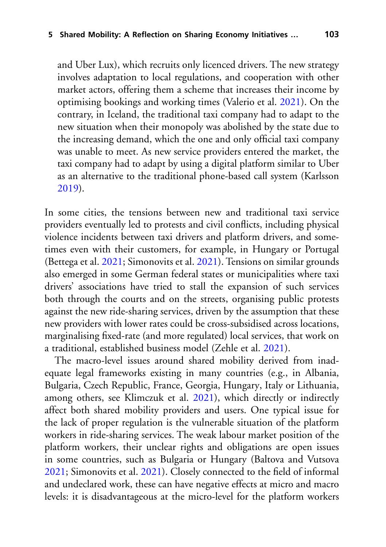and Uber Lux), which recruits only licenced drivers. The new strategy involves adaptation to local regulations, and cooperation with other market actors, offering them a scheme that increases their income by optimising bookings and working times (Valerio et al. [2021\)](#page-23-7). On the contrary, in Iceland, the traditional taxi company had to adapt to the new situation when their monopoly was abolished by the state due to the increasing demand, which the one and only official taxi company was unable to meet. As new service providers entered the market, the taxi company had to adapt by using a digital platform similar to Uber as an alternative to the traditional phone-based call system (Karlsson [2019\)](#page-21-6).

In some cities, the tensions between new and traditional taxi service providers eventually led to protests and civil conflicts, including physical violence incidents between taxi drivers and platform drivers, and sometimes even with their customers, for example, in Hungary or Portugal (Bettega et al. [2021;](#page-19-4) Simonovits et al. [2021\)](#page-23-6). Tensions on similar grounds also emerged in some German federal states or municipalities where taxi drivers' associations have tried to stall the expansion of such services both through the courts and on the streets, organising public protests against the new ride-sharing services, driven by the assumption that these new providers with lower rates could be cross-subsidised across locations, marginalising fixed-rate (and more regulated) local services, that work on a traditional, established business model (Zehle et al. [2021\)](#page-24-1).

The macro-level issues around shared mobility derived from inadequate legal frameworks existing in many countries (e.g., in Albania, Bulgaria, Czech Republic, France, Georgia, Hungary, Italy or Lithuania, among others, see Klimczuk et al. [2021\)](#page-21-3), which directly or indirectly affect both shared mobility providers and users. One typical issue for the lack of proper regulation is the vulnerable situation of the platform workers in ride-sharing services. The weak labour market position of the platform workers, their unclear rights and obligations are open issues in some countries, such as Bulgaria or Hungary (Baltova and Vutsova [2021;](#page-19-7) Simonovits et al. [2021\)](#page-23-6). Closely connected to the field of informal and undeclared work, these can have negative effects at micro and macro levels: it is disadvantageous at the micro-level for the platform workers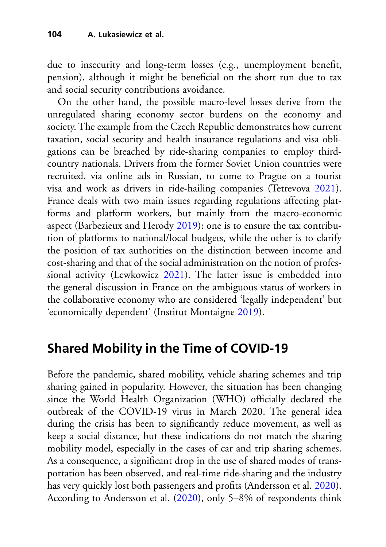due to insecurity and long-term losses (e.g., unemployment benefit, pension), although it might be beneficial on the short run due to tax and social security contributions avoidance.

On the other hand, the possible macro-level losses derive from the unregulated sharing economy sector burdens on the economy and society. The example from the Czech Republic demonstrates how current taxation, social security and health insurance regulations and visa obligations can be breached by ride-sharing companies to employ thirdcountry nationals. Drivers from the former Soviet Union countries were recruited, via online ads in Russian, to come to Prague on a tourist visa and work as drivers in ride-hailing companies (Tetrevova [2021\)](#page-23-8). France deals with two main issues regarding regulations affecting platforms and platform workers, but mainly from the macro-economic aspect (Barbezieux and Herody [2019\)](#page-19-8): one is to ensure the tax contribution of platforms to national/local budgets, while the other is to clarify the position of tax authorities on the distinction between income and cost-sharing and that of the social administration on the notion of professional activity (Lewkowicz [2021\)](#page-21-7). The latter issue is embedded into the general discussion in France on the ambiguous status of workers in the collaborative economy who are considered 'legally independent' but 'economically dependent' (Institut Montaigne [2019\)](#page-21-8).

## **Shared Mobility in the Time of COVID-19**

Before the pandemic, shared mobility, vehicle sharing schemes and trip sharing gained in popularity. However, the situation has been changing since the World Health Organization (WHO) officially declared the outbreak of the COVID-19 virus in March 2020. The general idea during the crisis has been to significantly reduce movement, as well as keep a social distance, but these indications do not match the sharing mobility model, especially in the cases of car and trip sharing schemes. As a consequence, a significant drop in the use of shared modes of transportation has been observed, and real-time ride-sharing and the industry has very quickly lost both passengers and profits (Andersson et al. [2020\)](#page-18-0). According to Andersson et al. [\(2020\)](#page-18-0), only 5–8% of respondents think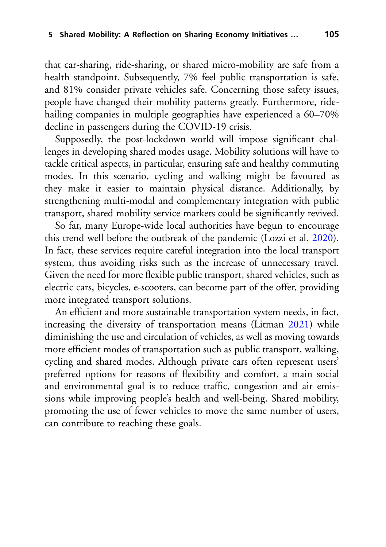that car-sharing, ride-sharing, or shared micro-mobility are safe from a health standpoint. Subsequently, 7% feel public transportation is safe, and 81% consider private vehicles safe. Concerning those safety issues, people have changed their mobility patterns greatly. Furthermore, ridehailing companies in multiple geographies have experienced a 60–70% decline in passengers during the COVID-19 crisis.

Supposedly, the post-lockdown world will impose significant challenges in developing shared modes usage. Mobility solutions will have to tackle critical aspects, in particular, ensuring safe and healthy commuting modes. In this scenario, cycling and walking might be favoured as they make it easier to maintain physical distance. Additionally, by strengthening multi-modal and complementary integration with public transport, shared mobility service markets could be significantly revived.

So far, many Europe-wide local authorities have begun to encourage this trend well before the outbreak of the pandemic (Lozzi et al. [2020\)](#page-21-9). In fact, these services require careful integration into the local transport system, thus avoiding risks such as the increase of unnecessary travel. Given the need for more flexible public transport, shared vehicles, such as electric cars, bicycles, e-scooters, can become part of the offer, providing more integrated transport solutions.

An efficient and more sustainable transportation system needs, in fact, increasing the diversity of transportation means (Litman [2021\)](#page-21-1) while diminishing the use and circulation of vehicles, as well as moving towards more efficient modes of transportation such as public transport, walking, cycling and shared modes. Although private cars often represent users' preferred options for reasons of flexibility and comfort, a main social and environmental goal is to reduce traffic, congestion and air emissions while improving people's health and well-being. Shared mobility, promoting the use of fewer vehicles to move the same number of users, can contribute to reaching these goals.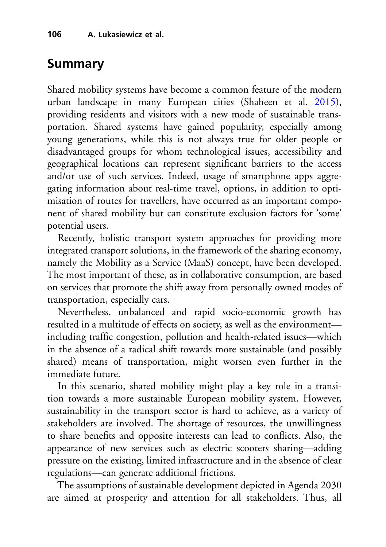# **Summary**

Shared mobility systems have become a common feature of the modern urban landscape in many European cities (Shaheen et al. [2015\)](#page-22-0), providing residents and visitors with a new mode of sustainable transportation. Shared systems have gained popularity, especially among young generations, while this is not always true for older people or disadvantaged groups for whom technological issues, accessibility and geographical locations can represent significant barriers to the access and/or use of such services. Indeed, usage of smartphone apps aggregating information about real-time travel, options, in addition to optimisation of routes for travellers, have occurred as an important component of shared mobility but can constitute exclusion factors for 'some' potential users.

Recently, holistic transport system approaches for providing more integrated transport solutions, in the framework of the sharing economy, namely the Mobility as a Service (MaaS) concept, have been developed. The most important of these, as in collaborative consumption, are based on services that promote the shift away from personally owned modes of transportation, especially cars.

Nevertheless, unbalanced and rapid socio-economic growth has resulted in a multitude of effects on society, as well as the environment including traffic congestion, pollution and health-related issues—which in the absence of a radical shift towards more sustainable (and possibly shared) means of transportation, might worsen even further in the immediate future.

In this scenario, shared mobility might play a key role in a transition towards a more sustainable European mobility system. However, sustainability in the transport sector is hard to achieve, as a variety of stakeholders are involved. The shortage of resources, the unwillingness to share benefits and opposite interests can lead to conflicts. Also, the appearance of new services such as electric scooters sharing—adding pressure on the existing, limited infrastructure and in the absence of clear regulations—can generate additional frictions.

The assumptions of sustainable development depicted in Agenda 2030 are aimed at prosperity and attention for all stakeholders. Thus, all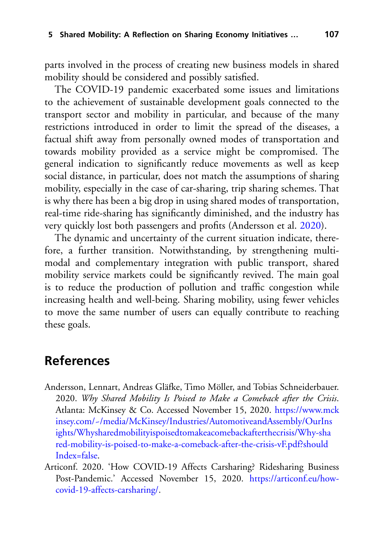parts involved in the process of creating new business models in shared mobility should be considered and possibly satisfied.

The COVID-19 pandemic exacerbated some issues and limitations to the achievement of sustainable development goals connected to the transport sector and mobility in particular, and because of the many restrictions introduced in order to limit the spread of the diseases, a factual shift away from personally owned modes of transportation and towards mobility provided as a service might be compromised. The general indication to significantly reduce movements as well as keep social distance, in particular, does not match the assumptions of sharing mobility, especially in the case of car-sharing, trip sharing schemes. That is why there has been a big drop in using shared modes of transportation, real-time ride-sharing has significantly diminished, and the industry has very quickly lost both passengers and profits (Andersson et al. [2020\)](#page-18-0).

The dynamic and uncertainty of the current situation indicate, therefore, a further transition. Notwithstanding, by strengthening multimodal and complementary integration with public transport, shared mobility service markets could be significantly revived. The main goal is to reduce the production of pollution and traffic congestion while increasing health and well-being. Sharing mobility, using fewer vehicles to move the same number of users can equally contribute to reaching these goals.

## **References**

- <span id="page-18-0"></span>Andersson, Lennart, Andreas Gläfke, Timo Möller, and Tobias Schneiderbauer. 2020. *Why Shared Mobility Is Poised to Make a Comeback after the Crisis*. Atlanta: McKinsey & Co. Accessed November 15, 2020. https://www.mck [insey.com/~/media/McKinsey/Industries/AutomotiveandAssembly/OurIns](https://www.mckinsey.com/~/media/McKinsey/Industries/Automotive%20and%20Assembly/Our%20Insights/Why%20shared%20mobility%20is%20poised%20to%20make%20a%20comeback%20after%20the%20crisis/Why-shared-mobility-is-poised-to-make-a-comeback-after-the-crisis-vF.pdf?shouldIndex=false) ights/Whysharedmobilityispoisedtomakeacomebackafterthecrisis/Why-sha red-mobility-is-poised-to-make-a-comeback-after-the-crisis-vF.pdf?should Index=false.
- <span id="page-18-1"></span>Articonf. 2020. 'How COVID-19 Affects Carsharing? Ridesharing Business [Post-Pandemic.' Accessed November 15, 2020.](https://articonf.eu/how-covid-19-affects-carsharing/) https://articonf.eu/howcovid-19-affects-carsharing/.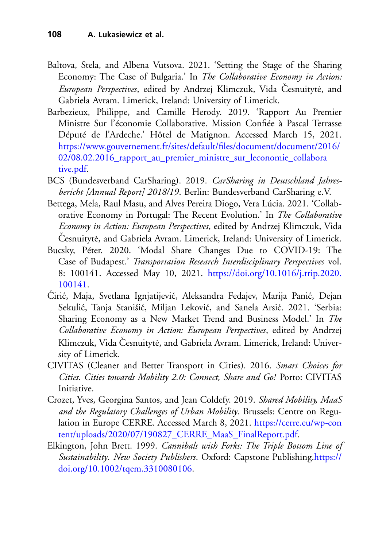- <span id="page-19-7"></span>Baltova, Stela, and Albena Vutsova. 2021. 'Setting the Stage of the Sharing Economy: The Case of Bulgaria.' In *The Collaborative Economy in Action: European Perspectives*, edited by Andrzej Klimczuk, Vida Česnuitytė, and Gabriela Avram. Limerick, Ireland: University of Limerick.
- <span id="page-19-8"></span>Barbezieux, Philippe, and Camille Herody. 2019. 'Rapport Au Premier Ministre Sur l'économie Collaborative. Mission Confiée à Pascal Terrasse Député de l'Ardeche.' Hôtel de Matignon. Accessed March 15, 2021. [https://www.gouvernement.fr/sites/default/files/document/document/2016/](https://www.gouvernement.fr/sites/default/files/document/document/2016/02/08.02.2016_rapport_au_premier_ministre_sur_leconomie_collaborative.pdf) 02/08.02.2016\_rapport\_au\_premier\_ministre\_sur\_leconomie\_collabora tive.pdf.
- <span id="page-19-6"></span>BCS (Bundesverband CarSharing). 2019. *CarSharing in Deutschland Jahresbericht [Annual Report] 2018/19*. Berlin: Bundesverband CarSharing e.V.
- <span id="page-19-4"></span>Bettega, Mela, Raul Masu, and Alves Pereira Diogo, Vera Lúcia. 2021. 'Collaborative Economy in Portugal: The Recent Evolution.' In *The Collaborative Economy in Action: European Perspectives*, edited by Andrzej Klimczuk, Vida Česnuitytė, and Gabriela Avram. Limerick, Ireland: University of Limerick.
- <span id="page-19-3"></span>Bucsky, Péter. 2020. 'Modal Share Changes Due to COVID-19: The Case of Budapest.' *Transportation Research Interdisciplinary Perspectives* vol. [8: 100141. Accessed May 10, 2021.](https://doi.org/10.1016/j.trip.2020.100141) https://doi.org/10.1016/j.trip.2020. 100141.
- <span id="page-19-5"></span>Ćirić, Maja, Svetlana Ignjatijević, Aleksandra Fedajev, Marija Panić, Dejan Sekulić, Tanja Stanišić, Miljan Leković, and Sanela Arsić. 2021. 'Serbia: Sharing Economy as a New Market Trend and Business Model.' In *The Collaborative Economy in Action: European Perspectives*, edited by Andrzej Klimczuk, Vida Česnuitytė, and Gabriela Avram. Limerick, Ireland: University of Limerick.
- <span id="page-19-1"></span>CIVITAS (Cleaner and Better Transport in Cities). 2016. *Smart Choices for Cities. Cities towards Mobility 2.0: Connect, Share and Go!* Porto: CIVITAS Initiative.
- <span id="page-19-0"></span>Crozet, Yves, Georgina Santos, and Jean Coldefy. 2019. *Shared Mobility, MaaS and the Regulatory Challenges of Urban Mobility*. Brussels: Centre on Regulation in Europe CERRE. Accessed March 8, 2021. https://cerre.eu/wp-con [tent/uploads/2020/07/190827\\_CERRE\\_MaaS\\_FinalReport.pdf.](https://cerre.eu/wp-content/uploads/2020/07/190827_CERRE_MaaS_FinalReport.pdf)
- <span id="page-19-2"></span>Elkington, John Brett. 1999. *Cannibals with Forks: The Triple Bottom Line of Sustainability*. *New Society Publishers*[. Oxford: Capstone Publishing.https://](https://doi.org/10.1002/tqem.3310080106) doi.org/10.1002/tqem.3310080106.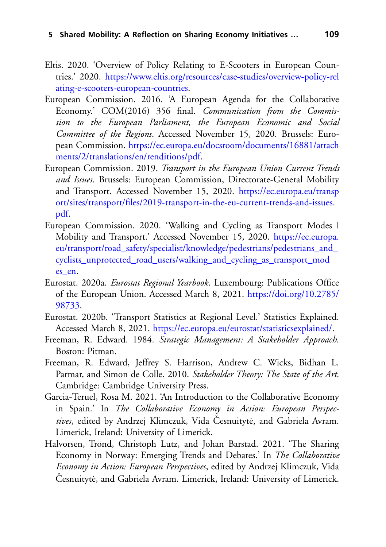- <span id="page-20-7"></span>Eltis. 2020. 'Overview of Policy Relating to E-Scooters in European Countries.' 2020. [https://www.eltis.org/resources/case-studies/overview-policy-rel](https://www.eltis.org/resources/case-studies/overview-policy-relating-e-scooters-european-countries) ating-e-scooters-european-countries.
- <span id="page-20-0"></span>European Commission. 2016. 'A European Agenda for the Collaborative Economy.' COM(2016) 356 final. *Communication from the Commission to the European Parliament, the European Economic and Social Committee of the Regions*. Accessed November 15, 2020. Brussels: European Commission. [https://ec.europa.eu/docsroom/documents/16881/attach](https://ec.europa.eu/docsroom/documents/16881/attachments/2/translations/en/renditions/pdf) ments/2/translations/en/renditions/pdf.
- <span id="page-20-3"></span>European Commission. 2019. *Transport in the European Union Current Trends and Issues*. Brussels: European Commission, Directorate-General Mobility and Transport. Accessed November 15, 2020. https://ec.europa.eu/transp [ort/sites/transport/files/2019-transport-in-the-eu-current-trends-and-issues.](https://ec.europa.eu/transport/sites/transport/files/2019-transport-in-the-eu-current-trends-and-issues.pdf) pdf.
- <span id="page-20-6"></span>European Commission. 2020. 'Walking and Cycling as Transport Modes | Mobility and Transport.' Accessed November 15, 2020. https://ec.europa. [eu/transport/road\\_safety/specialist/knowledge/pedestrians/pedestrians\\_and\\_](https://ec.europa.eu/transport/road_safety/specialist/knowledge/pedestrians/pedestrians_and_cyclists_unprotected_road_users/walking_and_cycling_as_transport_modes_en) cyclists\_unprotected\_road\_users/walking\_and\_cycling\_as\_transport\_mod es\_en.
- <span id="page-20-4"></span>Eurostat. 2020a. *Eurostat Regional Yearbook*. Luxembourg: Publications Office [of the European Union. Accessed March 8, 2021.](https://doi.org/10.2785/98733) https://doi.org/10.2785/ 98733.
- <span id="page-20-5"></span>Eurostat. 2020b. 'Transport Statistics at Regional Level.' Statistics Explained. Accessed March 8, 2021. [https://ec.europa.eu/eurostat/statisticsexplained/.](https://ec.europa.eu/eurostat/statisticsexplained/)
- <span id="page-20-1"></span>Freeman, R. Edward. 1984. *Strategic Management: A Stakeholder Approach*. Boston: Pitman.
- <span id="page-20-2"></span>Freeman, R. Edward, Jeffrey S. Harrison, Andrew C. Wicks, Bidhan L. Parmar, and Simon de Colle. 2010. *Stakeholder Theory: The State of the Art.* Cambridge: Cambridge University Press.
- <span id="page-20-9"></span>Garcia-Teruel, Rosa M. 2021. 'An Introduction to the Collaborative Economy in Spain.' In *The Collaborative Economy in Action: European Perspectives*, edited by Andrzej Klimczuk, Vida Česnuitytė, and Gabriela Avram. Limerick, Ireland: University of Limerick.
- <span id="page-20-8"></span>Halvorsen, Trond, Christoph Lutz, and Johan Barstad. 2021. 'The Sharing Economy in Norway: Emerging Trends and Debates.' In *The Collaborative Economy in Action: European Perspectives*, edited by Andrzej Klimczuk, Vida Česnuitytė, and Gabriela Avram. Limerick, Ireland: University of Limerick.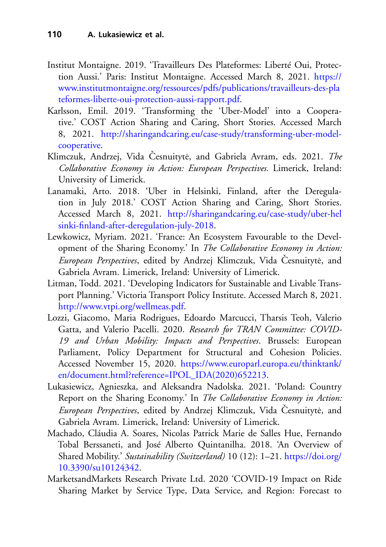- <span id="page-21-8"></span>Institut Montaigne. 2019. 'Travailleurs Des Plateformes: Liberté Oui, Protection Aussi.' Paris: Institut Montaigne. Accessed March 8, 2021. https:// [www.institutmontaigne.org/ressources/pdfs/publications/travailleurs-des-pla](https://www.institutmontaigne.org/ressources/pdfs/publications/travailleurs-des-plateformes-liberte-oui-protection-aussi-rapport.pdf) teformes-liberte-oui-protection-aussi-rapport.pdf.
- <span id="page-21-6"></span>Karlsson, Emil. 2019. 'Transforming the 'Uber-Model' into a Cooperative.' COST Action Sharing and Caring, Short Stories. Accessed March 8, 2021. [http://sharingandcaring.eu/case-study/transforming-uber-model](http://sharingandcaring.eu/case-study/transforming-uber-model-cooperative)cooperative.
- <span id="page-21-3"></span>Klimczuk, Andrzej, Vida Česnuitytė, and Gabriela Avram, eds. 2021. The *Collaborative Economy in Action: European Perspectives.* Limerick, Ireland: University of Limerick.
- <span id="page-21-5"></span>Lanamaki, Arto. 2018. 'Uber in Helsinki, Finland, after the Deregulation in July 2018.' COST Action Sharing and Caring, Short Stories. Accessed March 8, 2021. [http://sharingandcaring.eu/case-study/uber-hel](http://sharingandcaring.eu/case-study/uber-helsinki-finland-after-deregulation-july-2018) sinki-finland-after-deregulation-july-2018.
- <span id="page-21-7"></span>Lewkowicz, Myriam. 2021. 'France: An Ecosystem Favourable to the Development of the Sharing Economy.' In *The Collaborative Economy in Action: European Perspectives*, edited by Andrzej Klimczuk, Vida Česnuitytė, and Gabriela Avram. Limerick, Ireland: University of Limerick.
- <span id="page-21-1"></span>Litman, Todd. 2021. 'Developing Indicators for Sustainable and Livable Transport Planning.' Victoria Transport Policy Institute. Accessed March 8, 2021. [http://www.vtpi.org/wellmeas.pdf.](http://www.vtpi.org/wellmeas.pdf)
- <span id="page-21-9"></span>Lozzi, Giacomo, Maria Rodrigues, Edoardo Marcucci, Tharsis Teoh, Valerio Gatta, and Valerio Pacelli. 2020. *Research for TRAN Committee: COVID-19 and Urban Mobility: Impacts and Perspectives*. Brussels: European Parliament, Policy Department for Structural and Cohesion Policies. Accessed November 15, 2020. https://www.europarl.europa.eu/thinktank/ [en/document.html?reference=IPOL\\_IDA\(2020\)652213.](https://www.europarl.europa.eu/thinktank/en/document.html%3Freference%3DIPOL_IDA(2020)652213)
- <span id="page-21-4"></span>Lukasiewicz, Agnieszka, and Aleksandra Nadolska. 2021. 'Poland: Country Report on the Sharing Economy.' In *The Collaborative Economy in Action: European Perspectives*, edited by Andrzej Klimczuk, Vida Česnuitytė, and Gabriela Avram. Limerick, Ireland: University of Limerick.
- <span id="page-21-0"></span>Machado, Cláudia A. Soares, Nicolas Patrick Marie de Salles Hue, Fernando Tobal Berssaneti, and José Alberto Quintanilha. 2018. 'An Overview of Shared Mobility.' *[Sustainability \(Switzerland\)](https://doi.org/10.3390/su10124342)* 10 (12): 1–21. https://doi.org/ 10.3390/su10124342.
- <span id="page-21-2"></span>MarketsandMarkets Research Private Ltd. 2020 'COVID-19 Impact on Ride Sharing Market by Service Type, Data Service, and Region: Forecast to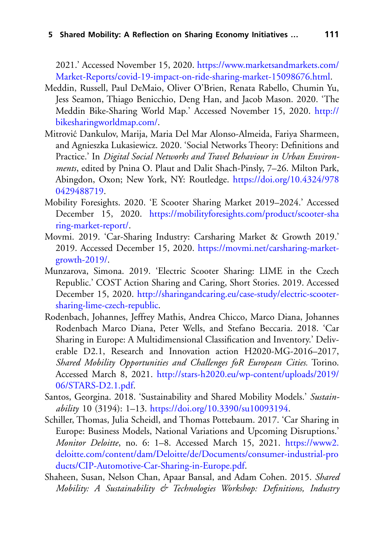2021.' Accessed November 15, 2020. https://www.marketsandmarkets.com/ [Market-Reports/covid-19-impact-on-ride-sharing-market-15098676.html.](https://www.marketsandmarkets.com/Market-Reports/covid-19-impact-on-ride-sharing-market-15098676.html)

- <span id="page-22-6"></span>Meddin, Russell, Paul DeMaio, Oliver O'Brien, Renata Rabello, Chumin Yu, Jess Seamon, Thiago Benicchio, Deng Han, and Jacob Mason. 2020. 'The [Meddin Bike-Sharing World Map.' Accessed November 15, 2020.](http://bikesharingworldmap.com/) http:// bikesharingworldmap.com/.
- <span id="page-22-2"></span>Mitrović Dankulov, Marija, Maria Del Mar Alonso-Almeida, Fariya Sharmeen, and Agnieszka Lukasiewicz. 2020. 'Social Networks Theory: Definitions and Practice.' In *Digital Social Networks and Travel Behaviour in Urban Environments*, edited by Pnina O. Plaut and Dalit Shach-Pinsly, 7–26. Milton Park, [Abingdon, Oxon; New York, NY: Routledge.](https://doi.org/10.4324/9780429488719) https://doi.org/10.4324/978 0429488719.
- <span id="page-22-7"></span>Mobility Foresights. 2020. 'E Scooter Sharing Market 2019–2024.' Accessed December 15, 2020. [https://mobilityforesights.com/product/scooter-sha](https://mobilityforesights.com/product/scooter-sharing-market-report/) ring-market-report/.
- <span id="page-22-5"></span>Movmi. 2019. 'Car-Sharing Industry: Carsharing Market & Growth 2019.' 2019. Accessed December 15, 2020. [https://movmi.net/carsharing-market](https://movmi.net/carsharing-market-growth-2019/)growth-2019/.
- <span id="page-22-8"></span>Munzarova, Simona. 2019. 'Electric Scooter Sharing: LIME in the Czech Republic.' COST Action Sharing and Caring, Short Stories. 2019. Accessed December 15, 2020. [http://sharingandcaring.eu/case-study/electric-scooter](http://sharingandcaring.eu/case-study/electric-scooter-sharing-lime-czech-republic)sharing-lime-czech-republic.
- <span id="page-22-4"></span>Rodenbach, Johannes, Jeffrey Mathis, Andrea Chicco, Marco Diana, Johannes Rodenbach Marco Diana, Peter Wells, and Stefano Beccaria. 2018. 'Car Sharing in Europe: A Multidimensional Classification and Inventory.' Deliverable D2.1, Research and Innovation action H2020-MG-2016–2017, *Shared Mobility Opportunities and Challenges foR European Cities.* Torino. Accessed March 8, 2021. [http://stars-h2020.eu/wp-content/uploads/2019/](http://stars-h2020.eu/wp-content/uploads/2019/06/STARS-D2.1.pdf) 06/STARS-D2.1.pdf.
- <span id="page-22-1"></span>Santos, Georgina. 2018. 'Sustainability and Shared Mobility Models.' *Sustainability* 10 (3194): 1–13. [https://doi.org/10.3390/su10093194.](https://doi.org/10.3390/su10093194)
- <span id="page-22-3"></span>Schiller, Thomas, Julia Scheidl, and Thomas Pottebaum. 2017. 'Car Sharing in Europe: Business Models, National Variations and Upcoming Disruptions.' *Monitor Deloitte*, no. 6: 1–8. Accessed March 15, 2021. https://www2. [deloitte.com/content/dam/Deloitte/de/Documents/consumer-industrial-pro](https://www2.deloitte.com/content/dam/Deloitte/de/Documents/consumer-industrial-products/CIP-Automotive-Car-Sharing-in-Europe.pdf) ducts/CIP-Automotive-Car-Sharing-in-Europe.pdf.
- <span id="page-22-0"></span>Shaheen, Susan, Nelson Chan, Apaar Bansal, and Adam Cohen. 2015. *Shared Mobility: A Sustainability & Technologies Workshop: Definitions, Industry*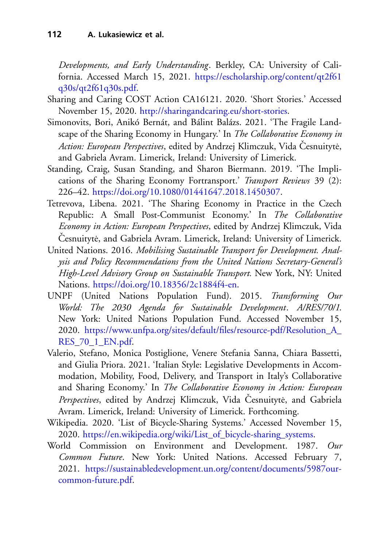*Developments, and Early Understanding*. Berkley, CA: University of California. Accessed March 15, 2021. [https://escholarship.org/content/qt2f61](https://escholarship.org/content/qt2f61q30s/qt2f61q30s.pdf) q30s/qt2f61q30s.pdf.

- <span id="page-23-5"></span>Sharing and Caring COST Action CA16121. 2020. 'Short Stories.' Accessed November 15, 2020. [http://sharingandcaring.eu/short-stories.](http://sharingandcaring.eu/short-stories)
- <span id="page-23-6"></span>Simonovits, Bori, Anikó Bernát, and Bálint Balázs. 2021. 'The Fragile Landscape of the Sharing Economy in Hungary.' In *The Collaborative Economy in Action: European Perspectives*, edited by Andrzej Klimczuk, Vida Česnuitytė, and Gabriela Avram. Limerick, Ireland: University of Limerick.
- <span id="page-23-0"></span>Standing, Craig, Susan Standing, and Sharon Biermann. 2019. 'The Implications of the Sharing Economy Fortransport.' *Transport Reviews* 39 (2): 226–42. [https://doi.org/10.1080/01441647.2018.1450307.](https://doi.org/10.1080/01441647.2018.1450307)
- <span id="page-23-8"></span>Tetrevova, Libena. 2021. 'The Sharing Economy in Practice in the Czech Republic: A Small Post-Communist Economy.' In *The Collaborative Economy in Action: European Perspectives*, edited by Andrzej Klimczuk, Vida Česnuitytė, and Gabriela Avram. Limerick, Ireland: University of Limerick.
- <span id="page-23-3"></span>United Nations. 2016. *Mobilising Sustainable Transport for Development. Analysis and Policy Recommendations from the United Nations Secretary-General's High-Level Advisory Group on Sustainable Transport.* New York, NY: United Nations. [https://doi.org/10.18356/2c1884f4-en.](https://doi.org/10.18356/2c1884f4-en)
- <span id="page-23-2"></span>UNPF (United Nations Population Fund). 2015. *Transforming Our World: The 2030 Agenda for Sustainable Development*. *A/RES/70/1*. New York: United Nations Population Fund. Accessed November 15, 2020. [https://www.unfpa.org/sites/default/files/resource-pdf/Resolution\\_A\\_](https://www.unfpa.org/sites/default/files/resource-pdf/Resolution_A_RES_70_1_EN.pdf) RES 70\_1\_EN.pdf.
- <span id="page-23-7"></span>Valerio, Stefano, Monica Postiglione, Venere Stefania Sanna, Chiara Bassetti, and Giulia Priora. 2021. 'Italian Style: Legislative Developments in Accommodation, Mobility, Food, Delivery, and Transport in Italy's Collaborative and Sharing Economy.' In *The Collaborative Economy in Action: European* Perspectives, edited by Andrzej Klimczuk, Vida Česnuitytė, and Gabriela Avram. Limerick, Ireland: University of Limerick. Forthcoming.
- <span id="page-23-4"></span>Wikipedia. 2020. 'List of Bicycle-Sharing Systems.' Accessed November 15, 2020. [https://en.wikipedia.org/wiki/List\\_of\\_bicycle-sharing\\_systems.](https://en.wikipedia.org/wiki/List_of_bicycle-sharing_systems)
- <span id="page-23-1"></span>World Commission on Environment and Development. 1987. *Our Common Future*. New York: United Nations. Accessed February 7, 2021. [https://sustainabledevelopment.un.org/content/documents/5987our](https://sustainabledevelopment.un.org/content/documents/5987our-common-future.pdf)common-future.pdf.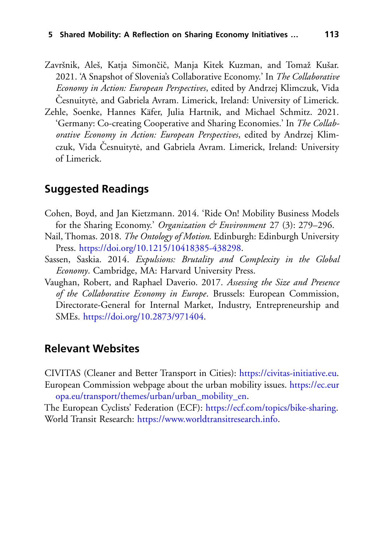- <span id="page-24-0"></span>Završnik, Aleš, Katja Simončič, Manja Kitek Kuzman, and Tomaž Kušar. 2021. 'A Snapshot of Slovenia's Collaborative Economy.' In *The Collaborative Economy in Action: European Perspectives*, edited by Andrzej Klimczuk, Vida Česnuitytė, and Gabriela Avram. Limerick, Ireland: University of Limerick.
- <span id="page-24-1"></span>Zehle, Soenke, Hannes Käfer, Julia Hartnik, and Michael Schmitz. 2021. 'Germany: Co-creating Cooperative and Sharing Economies.' In *The Collaborative Economy in Action: European Perspectives*, edited by Andrzej Klimczuk, Vida Česnuitytė, and Gabriela Avram. Limerick, Ireland: University of Limerick.

#### **Suggested Readings**

- Cohen, Boyd, and Jan Kietzmann. 2014. 'Ride On! Mobility Business Models for the Sharing Economy.' *Organization & Environment* 27 (3): 279–296.
- Nail, Thomas. 2018. *The Ontology of Motion*. Edinburgh: Edinburgh University Press. [https://doi.org/10.1215/10418385-438298.](https://doi.org/10.1215/10418385-438298)
- Sassen, Saskia. 2014. *Expulsions: Brutality and Complexity in the Global Economy*. Cambridge, MA: Harvard University Press.
- Vaughan, Robert, and Raphael Daverio. 2017. *Assessing the Size and Presence of the Collaborative Economy in Europe*. Brussels: European Commission, Directorate-General for Internal Market, Industry, Entrepreneurship and SMEs. [https://doi.org/10.2873/971404.](https://doi.org/10.2873/971404)

#### **Relevant Websites**

CIVITAS (Cleaner and Better Transport in Cities): [https://civitas-initiative.eu.](https://civitas-initiative.eu) E[uropean Commission webpage about the urban mobility issues.](https://ec.europa.eu/transport/themes/urban/urban_mobility_en) https://ec.eur opa.eu/transport/themes/urban/urban\_mobility\_en.

The European Cyclists' Federation (ECF): [https://ecf.com/topics/bike-sharing.](https://ecf.com/topics/bike-sharing) World Transit Research: [https://www.worldtransitresearch.info.](https://www.worldtransitresearch.info)